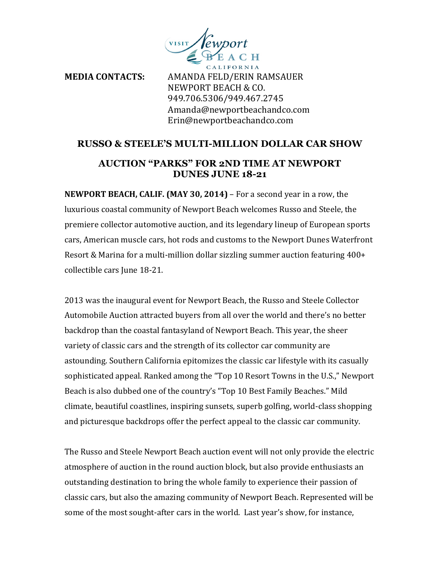

**MEDIA CONTACTS:** AMANDA FELD/ERIN RAMSAUER NEWPORT BEACH & CO. 949.706.5306/949.467.2745 Amanda@newportbeachandco.com Erin@newportbeachandco.com

## **RUSSO & STEELE'S MULTI-MILLION DOLLAR CAR SHOW**

## **AUCTION "PARKS" FOR 2ND TIME AT NEWPORT DUNES JUNE 18-21**

**NEWPORT BEACH, CALIF. (MAY 30, 2014)** – For a second year in a row, the luxurious coastal community of Newport Beach welcomes Russo and Steele, the premiere collector automotive auction, and its legendary lineup of European sports cars, American muscle cars, hot rods and customs to the Newport Dunes Waterfront Resort & Marina for a multi-million dollar sizzling summer auction featuring  $400+$ collectible cars June 18-21.

2013 was the inaugural event for Newport Beach, the Russo and Steele Collector Automobile Auction attracted buyers from all over the world and there's no better backdrop than the coastal fantasyland of Newport Beach. This year, the sheer variety of classic cars and the strength of its collector car community are astounding. Southern California epitomizes the classic car lifestyle with its casually sophisticated appeal. Ranked among the "Top 10 Resort Towns in the U.S.," Newport Beach is also dubbed one of the country's "Top 10 Best Family Beaches." Mild climate, beautiful coastlines, inspiring sunsets, superb golfing, world-class shopping and picturesque backdrops offer the perfect appeal to the classic car community.

The Russo and Steele Newport Beach auction event will not only provide the electric atmosphere of auction in the round auction block, but also provide enthusiasts an outstanding destination to bring the whole family to experience their passion of classic cars, but also the amazing community of Newport Beach. Represented will be some of the most sought-after cars in the world. Last year's show, for instance,